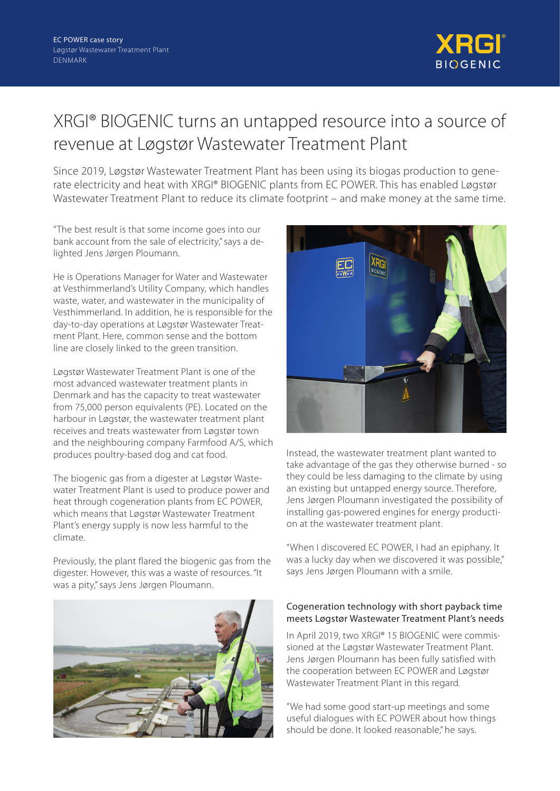

## XRGI® BIOGENIC turns an untapped resource into a source of revenue at Løgstør Wastewater Treatment Plant

Since 2019, Løgstør Wastewater Treatment Plant has been using its biogas production to generate electricity and heat with XRGI® BIOGENIC plants from EC POWER. This has enabled Løgstør Wastewater Treatment Plant to reduce its climate footprint – and make money at the same time.

"The best result is that some income goes into our bank account from the sale of electricity," says a delighted Jens Jørgen Ploumann.

He is Operations Manager for Water and Wastewater at Vesthimmerland's Utility Company, which handles waste, water, and wastewater in the municipality of Vesthimmerland. In addition, he is responsible for the day-to-day operations at Løgstør Wastewater Treatment Plant. Here, common sense and the bottom line are closely linked to the green transition.

Løgstør Wastewater Treatment Plant is one of the most advanced wastewater treatment plants in Denmark and has the capacity to treat wastewater from 75,000 person equivalents (PE). Located on the harbour in Løgstør, the wastewater treatment plant receives and treats wastewater from Løgstør town and the neighbouring company Farmfood A/S, which produces poultry-based dog and cat food.

The biogenic gas from a digester at Løgstør Wastewater Treatment Plant is used to produce power and heat through cogeneration plants from EC POWER, which means that Løgstør Wastewater Treatment Plant's energy supply is now less harmful to the climate.

Previously, the plant flared the biogenic gas from the digester. However, this was a waste of resources. "It was a pity," says Jens Jørgen Ploumann.





Instead, the wastewater treatment plant wanted to take advantage of the gas they otherwise burned - so they could be less damaging to the climate by using an existing but untapped energy source. Therefore, Jens Jørgen Ploumann investigated the possibility of installing gas-powered engines for energy production at the wastewater treatment plant.

"When I discovered EC POWER, I had an epiphany. It was a lucky day when we discovered it was possible," says Jens Jørgen Ploumann with a smile.

## Cogeneration technology with short payback time meets Løgstør Wastewater Treatment Plant's needs

In April 2019, two XRGI® 15 BIOGENIC were commissioned at the Løgstør Wastewater Treatment Plant. Jens Jørgen Ploumann has been fully satisfied with the cooperation between EC POWER and Løgstør Wastewater Treatment Plant in this regard.

"We had some good start-up meetings and some useful dialogues with EC POWER about how things should be done. It looked reasonable," he says.